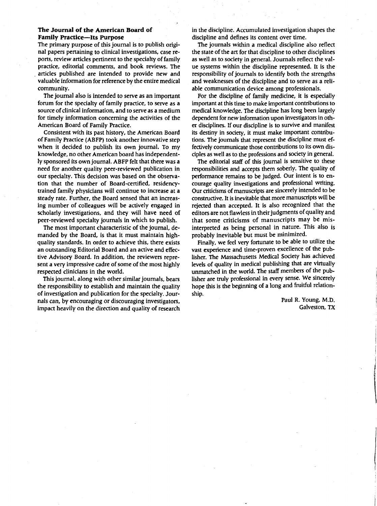#### **The Journal of the American Board of Family Practice-Its Purpose**

The primary purpose of this journal is to publish original papers pertaining to clinical investigations. case reports. review articles pertinent to the specialty of family practice. editorial comments. and book reviews. The . articles published are intended to provide new and valuable information for reference by the entire medical community.

The journal also is intended to serve as an important forum for the specialty of family practice. to serve as a source of clinical information. and to serve as a medium for timely information concerning the activities of the American Board of Family Practice.

Consistent with its past history. the American Board of Family Practice (ABFP) took another innovative step when it decided to publish its own journal. To my knowledge. no other American board has independently sponsored its own journal. ABFP felt that there was a need for another quality peer-reviewed publication in our specialty. This decision was based on the observation that the number of Board-certified. residencytrained family physicians will continue to increase at a steady rate. Further. the Board sensed that an increasing number of colleagues will be actively engaged in scholarly investigations. and they will have need of peer-reviewed specialty journals in which to publish.

The most important characteristic of the journal. demanded by the Board. is that it must maintain highquality standards. In order to achieve this. there exists an outstanding Editorial Board and an active and effective Advisory Board. In addition. the reviewers represent a very impressive cadre of some of the most highly respected clinicians in the world.

This journal. along with other similar journals. bears the responsibility to establish and maintain the quality of investigation and publication for the specialty. Journals can. by encouraging or discouraging investigators. impact heavily on the direction and quality of research in the discipline. Accumulated investigation shapes the discipline and defines its content over time.

The journals within a medical discipline also reflect the state of the art for that discipline to other disciplines as well as to society in general. Journals reflect the value systems within the discipline represented. It is the responsibility of journals to identify both the strengths and weaknesses of the discipline and to serve as a reliable communication device among professionals.

For the discipline of family medicine, it is especially important at this time to make important contributions to medical knowledge. The discipline has long been largely dependent for new information upon investigators in other disciplines. If our discipline is to survive and manifest its destiny in society, it must make important contributions. The journals that represent the discipline must effectively communicate those contributions to its own disciples as well as to the professions and society in general.

The editorial staff of this journal is sensitive to these responsibilities and accepts them soberly. The quality of performance remains to be judged. Our intent is to encourage quality investigations and professional writing. Our criticisms of manuscripts are sincerely intended to be constructive. It is inevitable that more manuscripts will be rejected than accepted. It is also recognized that the editors are not flawless in their judgments of quality and that some criticisms of manuscripts may be misinterpreted as being personal in nature. This also is probably inevitable but must be minimized.

Finally, we feel very fortunate to be able to utilize the vast experience and time-proven excellence of the publisher. The Massachusetts Medical Society has achieved levels of quality in medical publishing that are virtually unmatched in the world. The staff members of the publisher are truly professional in every sense. We sincerely hope this is the beginning of a long and fruitful relationship.

> Paul R. Young, M.D. Galveston, TX

> > $\mathcal{L}$  , and the distribution of the field  $\mathcal{L}$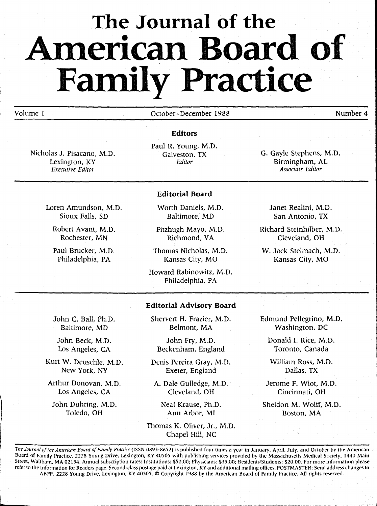# **The Journal of the AIDerican Board of**  Family Practice

### Volume 1

October-December 1988

Number 4

Nicholas J. Pisacano, M.D. Lexington, KY *Executive Editor* 

Sioux Falls, SD

Robert Avant, M.D. Rochester, MN Paul Brucker, M.D. Philadelphia, PA

Paul R. Young, M.D. Galveston, TX *Editor* 

**Editors** 

G. Gayle Stephens, M.D. Birmingham, AL *Associate Editor* 

### Loren Amundson, M.D.

Worth Daniels, M.D. Baltimore, MD

**Editorial Board** 

Fitzhugh Mayo, M.D. Richmond. VA

Thomas Nicholas, M.D. Kansas City, MO

Howard Rabinowitz, M.D. Philadelphia, PA

Janet Realini, M.D. San Antonio, TX

Richard Steinhilber, M.D. Cleveland, OH

W. Jack Stelmach, M.D. Kansas City, MO

John C. Ball, Ph.D. Baltimore, MD

John Beck, M.D. Los Angeles, CA

Kurt W. Deuschle, M.D. New York, NY

Arthur Donovan, M.D. Los Angeles, CA

John Duhring, M.D. Toledo, OH

l

**Editorial Advisory Board** 

Shervert H. Frazier, M.D. Belmont, MA

John Fry, M.D. Beckenham, England

Denis Pereira Gray, M.D. Exeter, England

A. Dale Gulledge, M.D. Cleveland, OH

Neal Krause, Ph.D. Ann Arbor, MI

Thomas K. Oliver, Jr., M.D. Chapel Hill, NC

Edmund Pellegrino, M.D. Washington, DC

Donald 1. Rice, M.D. Toronto, Canada

William Ross, M.D. Dallas, TX

Jerome F. Wiot, M.D. Cincinnati, OH

Sheldon M. Wolff, M.D. Boston, MA

...... ..J

The Journal of the American Board of Family Practice (ISSN 0893-8652) is published four times a year in January. April, July, and October by the American Board of Family Practice, 2228 Young Drive, Lexington, KY 40505 with publishing services provided by the Massachusetts Medical Society. 1440 Main Street. Waltham. MA 02154. Annual subscription rates: Institutions: \$50.00; Physicians: \$35.00; Residents/Students: \$20.00. For more information please refer to the Information for Readers page. Second-class postage paid at Lexington, KY and additional mailing offices. POSTMASTER: Send address changes to ABFP, 2228 Young Drive. Lexington, KY 40505. © Copyright 1988 by the American Board of Family Practice. All rights reserved.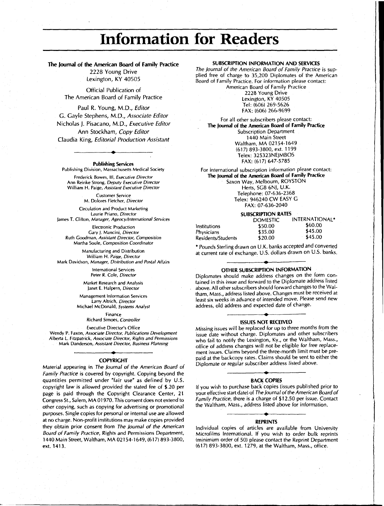## **Information for Readers**

#### **The 'ournal of the American Board of Family Practice**

2228 Young Drive Lexington, KY 40505

Official Publication of The American Board of Family Practice

Paul R. Young, M.D., *Editor*  G. Gayle Stephens, M.D., *Associate Editor*  Nicholas J. Pisacano, M.D., *Executive Editor*  Ann Stockham, *Copy Editor*  Claudia King, *Editorial Production Assistant* 

**Publishing Services**  Publishing Division, Massachusetts Medical Society

**•** 

frederick Bowes, III, *Executive Director*  Ann Reinke Strong, *Deputy Executive Director*  William H. Paige, *Assistant Executive Director* 

> Customer Service M. Dolores Fletcher, *Director*

Circulation and Product Marketing Laurie Priano, *Director*  James T. Clifton, *Manager, Agency/International Services* 

Electronic Production Gary J. Mancini, *Director*  Ruth Goodman, *Assistant Director, Composition*  Martha Soule, *Composition Coordinator* 

Manufacturing and Distribution William H. Paige, *Director*  Mark Davidson, *Manager, Distribution and Postal Affairs* 

> International Services Peter R. Cole, *Director*

Market Research *and* Analysis Janet E. Halpern, *Director* 

Management Information Services Larry Altrich, *Director*  Michael McDonald, *Systems Analyst* 

> finance Richard Simoes, *Controller*

Executive Director's Office

Wendy P. faxon, *Associate Director, Publications Development*  Alberta l. fitzpatrick, *Associate Director, Rights and Permissions*  Mark Danderson, *Assistant Director, Business Planning* 

### **• COPYRIGHT**

Material appearing in The Journal of the American Board of Family Practice is covered by copyright. Copying beyond the quantities permitted under "fair use" as defined by U.S. copyright law is allowed provided the stated fee of \$.20 per page is paid through the Copyright Clearance Center, 21 Congress St., Salem, MA 01970. This consent does not extend to other copying, such as copying for advertising or promotional purposes. Single copies for personal or internal use are allowed at no charge. Non-profit institutions may make copies provided they *obtain* prior *consent* from The Journal of the American Board of Family Practice, Rights and Permissions Department, 1440 Main Street, Waltham, MA 02154-1649, (617) 893-3800, ext. 1413.

#### **SUBSCRIPTION INFORMATION AND SERVICES**

The Journal of the American Board of Family Practice is supplied free of charge to 35,200 Diplomates of the American Board of Family Practice. For information please contact: American Board of Family Practice

2228 Young Drive lexington, KY 40505 tel: (606) 269-5626 FAX: (606) 266-9699

For all other subscribers please contact: **The 'ournal of the American Board of Family Practice**  Subscription Department 1440 Main Street Waltham, MA 02154-1649 (617) 893-3800, ext. 1199 Telex: 325323NEjMBOS FAX: (617) 647-5785

For international subscription information please contact: **The Journal of the American Board of Family Practice**  Saxon Way, Melbourn, ROYSTON Herts, SG8 6NJ, U.K. Telephone: 07-636-2368 Telex: 946240 CW EASY G FAX: 07-636-2040

#### **SUBSCRIPTION RATES**

|                    | <b>DOMESTIC</b> | <b>INTERNATIONAL*</b> |
|--------------------|-----------------|-----------------------|
| Institutions       | \$50.00         | \$60.00               |
| <b>Physicians</b>  | \$35.00         | \$45.00               |
| Residents/Students | \$20.00         | \$45.00               |

\* Pounds Sterling drawn on U.K. banks accepted and converted at current rate of exchange. U.S. dollars drawn on U.S. banks.

### **• OTHER SUBSCRIPTION INFORMATION**

Diplomates should make address changes on the form contained in this issue and forward to the Diplomate address listed above. All other subscribers should forward changes to the Waltham, Mass., address listed above. Changes must be received at least six weeks in advance of intended move. Please send new address, old address and expected date of change.

### **• ISSUES NOT RKEIVEO**

Missing issues will be replaced for up to three months from the issue date without charge. Diplomates and other subscribers who fail to notify the lexington, Ky., or the Waltham, Mass., office of address changes will not be eligible for free replacement issues. Claims beyond the three-month limit must be prepaid at the backcopy rates. Claims should be sent to either the Diplomate or regular subscriber address listed above.

### **• BACK COPIES**

If you wish to purchase back copies (issues published prior to your effective start date) of The Journal of the American Board of Family Practice, there is a charge of \$12.50 per issue. Contact the waltham, Mass., address listed above for information.

### **• REPRINTS**

Individual copies of articles are available from University Microfilms International. If you wish to order bulk reprints (minimum order of SO) please contact the Reprint Department (6 t 7) 893-3800, ext. 1279, at the Waltham, Mass., office.